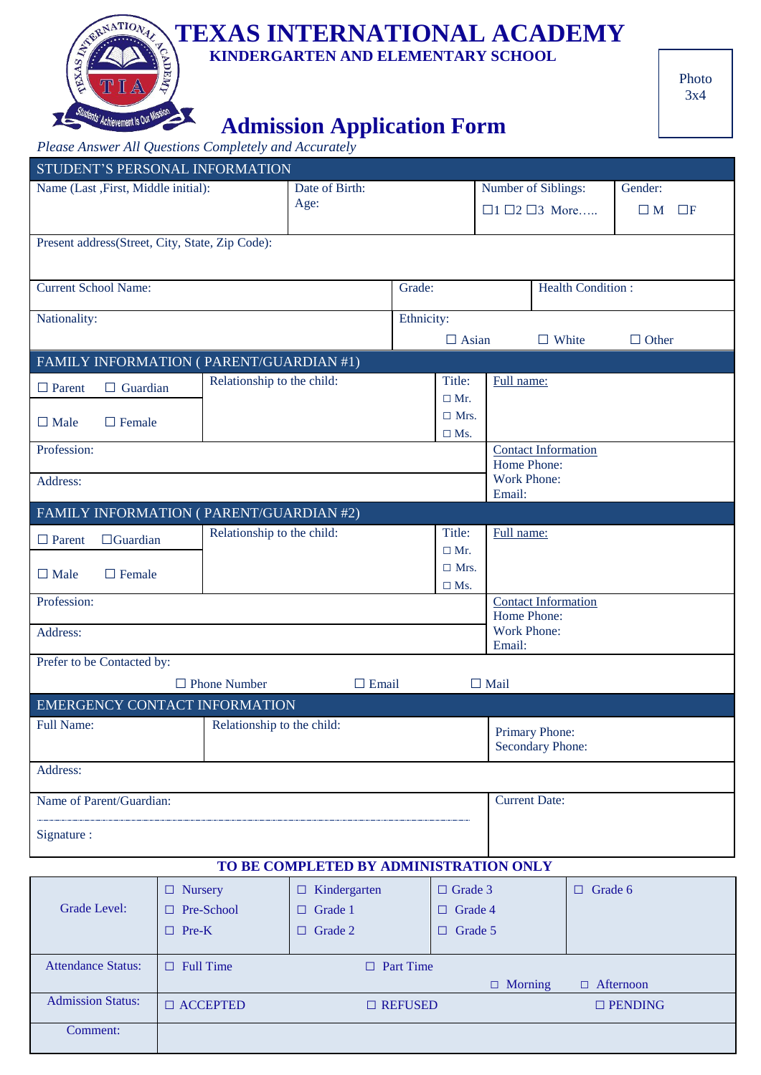# **TEXAS INTERNATIONAL ACADEMY**

 **KINDERGARTEN AND ELEMENTARY SCHOOL**

# **Admission Application Form**

*Please Answer All Questions Completely and Accurately*

 $\sum$ 

RXAS

X

7/s' Achievement Is Out Mi

| STUDENT'S PERSONAL INFORMATION                                                      |                                                        |                            |                                        |                                    |                                 |             |                                           |                |  |
|-------------------------------------------------------------------------------------|--------------------------------------------------------|----------------------------|----------------------------------------|------------------------------------|---------------------------------|-------------|-------------------------------------------|----------------|--|
| Name (Last , First, Middle initial):                                                |                                                        | Date of Birth:             |                                        |                                    | Number of Siblings:             |             | Gender:                                   |                |  |
|                                                                                     |                                                        |                            | Age:                                   |                                    | $\Box$ 1 $\Box$ 2 $\Box$ 3 More |             | $\Box F$<br>$\square$ M                   |                |  |
|                                                                                     |                                                        |                            |                                        |                                    |                                 |             |                                           |                |  |
| Present address(Street, City, State, Zip Code):                                     |                                                        |                            |                                        |                                    |                                 |             |                                           |                |  |
|                                                                                     |                                                        |                            |                                        |                                    |                                 |             |                                           |                |  |
| <b>Current School Name:</b>                                                         |                                                        |                            |                                        | Grade:                             |                                 |             | <b>Health Condition:</b>                  |                |  |
|                                                                                     |                                                        |                            |                                        |                                    |                                 |             |                                           |                |  |
| Nationality:                                                                        |                                                        |                            |                                        | Ethnicity:                         |                                 |             |                                           |                |  |
|                                                                                     |                                                        |                            |                                        |                                    | $\Box$ Asian                    |             | $\Box$ White                              | $\Box$ Other   |  |
| FAMILY INFORMATION (PARENT/GUARDIAN #1)                                             |                                                        |                            |                                        |                                    |                                 |             |                                           |                |  |
| $\Box$ Parent<br>$\Box$ Guardian                                                    |                                                        | Relationship to the child: |                                        |                                    | Title:                          | Full name:  |                                           |                |  |
|                                                                                     |                                                        |                            |                                        |                                    | $\Box$ Mr.                      |             |                                           |                |  |
| $\Box$ Male<br>$\Box$ Female                                                        |                                                        |                            |                                        |                                    | $\Box$ Mrs.                     |             |                                           |                |  |
| Profession:                                                                         |                                                        |                            |                                        |                                    | $\square$ Ms.                   |             |                                           |                |  |
|                                                                                     |                                                        |                            |                                        |                                    |                                 |             | <b>Contact Information</b><br>Home Phone: |                |  |
| Address:                                                                            |                                                        |                            |                                        | Work Phone:                        |                                 |             |                                           |                |  |
|                                                                                     |                                                        |                            |                                        |                                    |                                 | Email:      |                                           |                |  |
| FAMILY INFORMATION (PARENT/GUARDIAN #2)                                             |                                                        |                            |                                        |                                    |                                 |             |                                           |                |  |
| $\Box$ Guardian<br>$\Box$ Parent                                                    |                                                        | Relationship to the child: |                                        |                                    | Title:                          | Full name:  |                                           |                |  |
|                                                                                     |                                                        |                            |                                        |                                    | $\Box$ Mr.                      |             |                                           |                |  |
| $\Box$ Male<br>$\Box$ Female                                                        |                                                        |                            |                                        |                                    | $\Box$ Mrs.                     |             |                                           |                |  |
| Profession:                                                                         |                                                        |                            |                                        |                                    | $\square$ Ms.                   |             |                                           |                |  |
|                                                                                     | <b>Contact Information</b><br>Home Phone:              |                            |                                        |                                    |                                 |             |                                           |                |  |
| Address:                                                                            |                                                        |                            |                                        |                                    |                                 | Work Phone: |                                           |                |  |
|                                                                                     |                                                        |                            |                                        |                                    |                                 | Email:      |                                           |                |  |
| Prefer to be Contacted by:                                                          |                                                        |                            |                                        |                                    |                                 |             |                                           |                |  |
| $\Box$ Email<br>$\Box$ Mail<br>$\Box$ Phone Number<br>EMERGENCY CONTACT INFORMATION |                                                        |                            |                                        |                                    |                                 |             |                                           |                |  |
|                                                                                     |                                                        |                            |                                        |                                    |                                 |             |                                           |                |  |
| <b>Full Name:</b><br>Relationship to the child:                                     |                                                        |                            |                                        | Primary Phone:<br>Secondary Phone: |                                 |             |                                           |                |  |
|                                                                                     |                                                        |                            |                                        |                                    |                                 |             |                                           |                |  |
| Address:                                                                            |                                                        |                            |                                        |                                    |                                 |             |                                           |                |  |
| Name of Parent/Guardian:<br><b>Current Date:</b>                                    |                                                        |                            |                                        |                                    |                                 |             |                                           |                |  |
|                                                                                     |                                                        |                            |                                        |                                    |                                 |             |                                           |                |  |
| Signature :                                                                         |                                                        |                            |                                        |                                    |                                 |             |                                           |                |  |
|                                                                                     |                                                        |                            |                                        |                                    |                                 |             |                                           |                |  |
|                                                                                     |                                                        |                            | TO BE COMPLETED BY ADMINISTRATION ONLY |                                    |                                 |             |                                           |                |  |
|                                                                                     | $\Box$ Nursery                                         |                            | $\Box$ Kindergarten                    |                                    | $\Box$ Grade 3                  |             |                                           | $\Box$ Grade 6 |  |
| Grade Level:                                                                        | □ Pre-School                                           |                            | $\Box$ Grade 1                         |                                    | $\Box$ Grade 4                  |             |                                           |                |  |
|                                                                                     | $\Box$ Pre-K                                           |                            | $\Box$ Grade 2                         |                                    | $\Box$ Grade 5                  |             |                                           |                |  |
|                                                                                     |                                                        |                            |                                        |                                    |                                 |             |                                           |                |  |
| <b>Attendance Status:</b>                                                           | $\Box$ Full Time                                       |                            |                                        | $\Box$ Part Time                   |                                 |             |                                           |                |  |
|                                                                                     | $\Box$ Afternoon<br>$\Box$ Morning                     |                            |                                        |                                    |                                 |             |                                           |                |  |
| <b>Admission Status:</b>                                                            | $\Box$ ACCEPTED<br>$\Box$ REFUSED<br>$\square$ PENDING |                            |                                        |                                    |                                 |             |                                           |                |  |
| Comment:                                                                            |                                                        |                            |                                        |                                    |                                 |             |                                           |                |  |
|                                                                                     |                                                        |                            |                                        |                                    |                                 |             |                                           |                |  |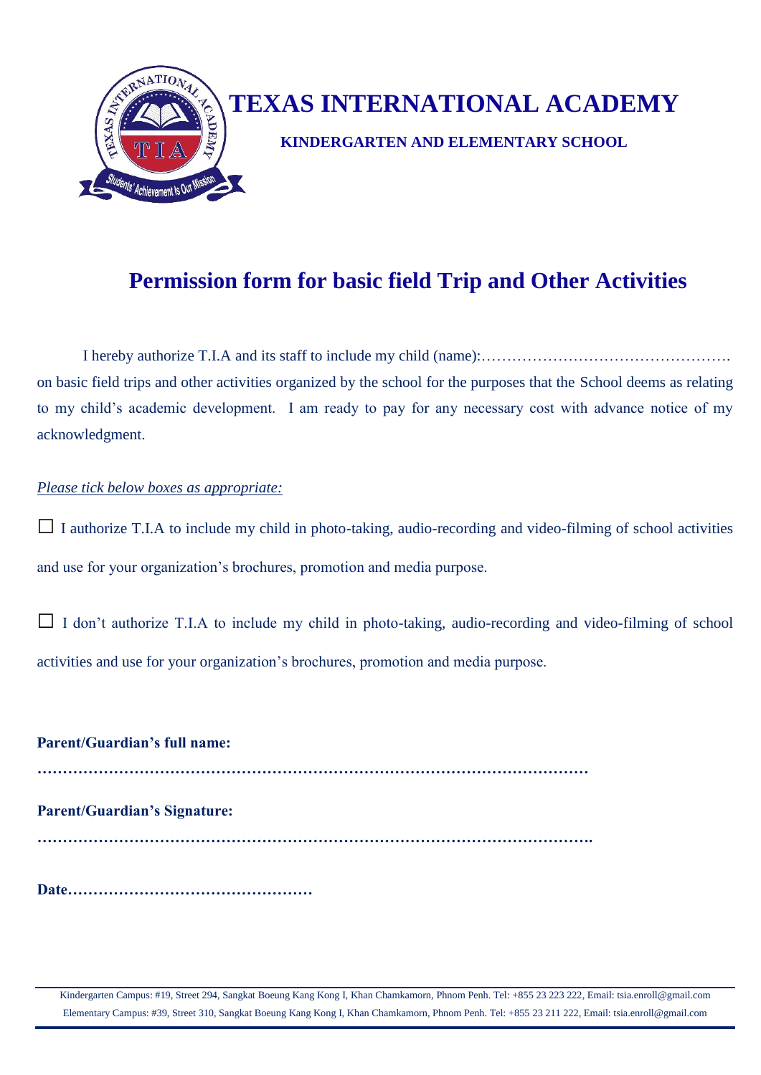

#### **Permission form for basic field Trip and Other Activities**

I hereby authorize T.I.A and its staff to include my child (name):…………………………………………. on basic field trips and other activities organized by the school for the purposes that the School deems as relating to my child's academic development. I am ready to pay for any necessary cost with advance notice of my acknowledgment.

#### *Please tick below boxes as appropriate:*

**□** <sup>I</sup> authorize T.I.A to include my child in photo-taking, audio-recording and video-filming of school activities and use for your organization's brochures, promotion and media purpose.

**□** I don't authorize T.I.A to include my child in photo-taking, audio-recording and video-filming of school activities and use for your organization's brochures, promotion and media purpose.

**Parent/Guardian's full name: ……………………………………………………………………………………………… Parent/Guardian's Signature: ………………………………………………………………………………………………. Date…………………………………………**

Kindergarten Campus: #19, Street 294, Sangkat Boeung Kang Kong I, Khan Chamkamorn, Phnom Penh. Tel: +855 23 223 222, Email: tsia.enroll@gmail.com Elementary Campus: #39, Street 310, Sangkat Boeung Kang Kong I, Khan Chamkamorn, Phnom Penh. Tel: +855 23 211 222, Email: tsia.enroll@gmail.com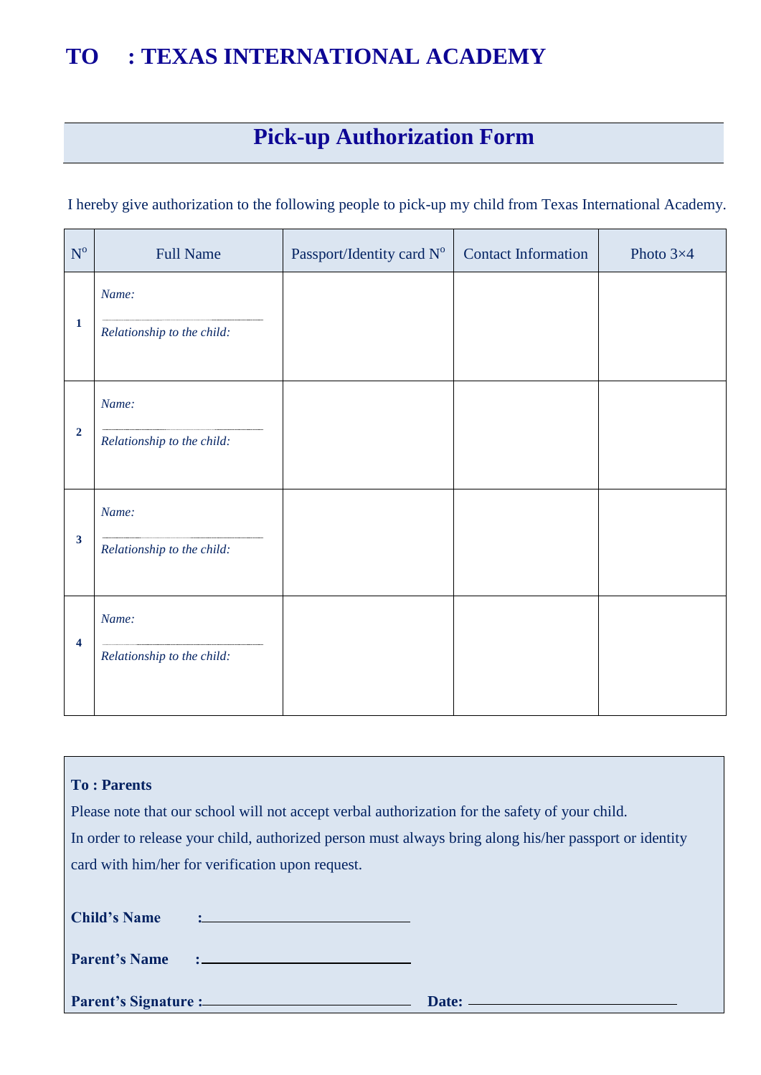### **TO : TEXAS INTERNATIONAL ACADEMY**

# **Pick-up Authorization Form**

I hereby give authorization to the following people to pick-up my child from Texas International Academy.

| $\mathbf{N}^{\text{o}}$ | <b>Full Name</b>                    | Passport/Identity card Nº | <b>Contact Information</b> | Photo $3\times4$ |
|-------------------------|-------------------------------------|---------------------------|----------------------------|------------------|
| $\mathbf{1}$            | Name:<br>Relationship to the child: |                           |                            |                  |
| $\overline{2}$          | Name:<br>Relationship to the child: |                           |                            |                  |
| $\mathbf{3}$            | Name:<br>Relationship to the child: |                           |                            |                  |
| 4                       | Name:<br>Relationship to the child: |                           |                            |                  |

| <b>To: Parents</b>                                                                                                                      |                     |  |  |  |  |
|-----------------------------------------------------------------------------------------------------------------------------------------|---------------------|--|--|--|--|
| Please note that our school will not accept verbal authorization for the safety of your child.                                          |                     |  |  |  |  |
| In order to release your child, authorized person must always bring along his/her passport or identity                                  |                     |  |  |  |  |
| card with him/her for verification upon request.                                                                                        |                     |  |  |  |  |
|                                                                                                                                         |                     |  |  |  |  |
| <b>Child's Name</b><br>and the control of the control of the control of the control of the control of the control of the control of the |                     |  |  |  |  |
| <b>Parent's Name</b>                                                                                                                    |                     |  |  |  |  |
|                                                                                                                                         | Date: $\frac{1}{2}$ |  |  |  |  |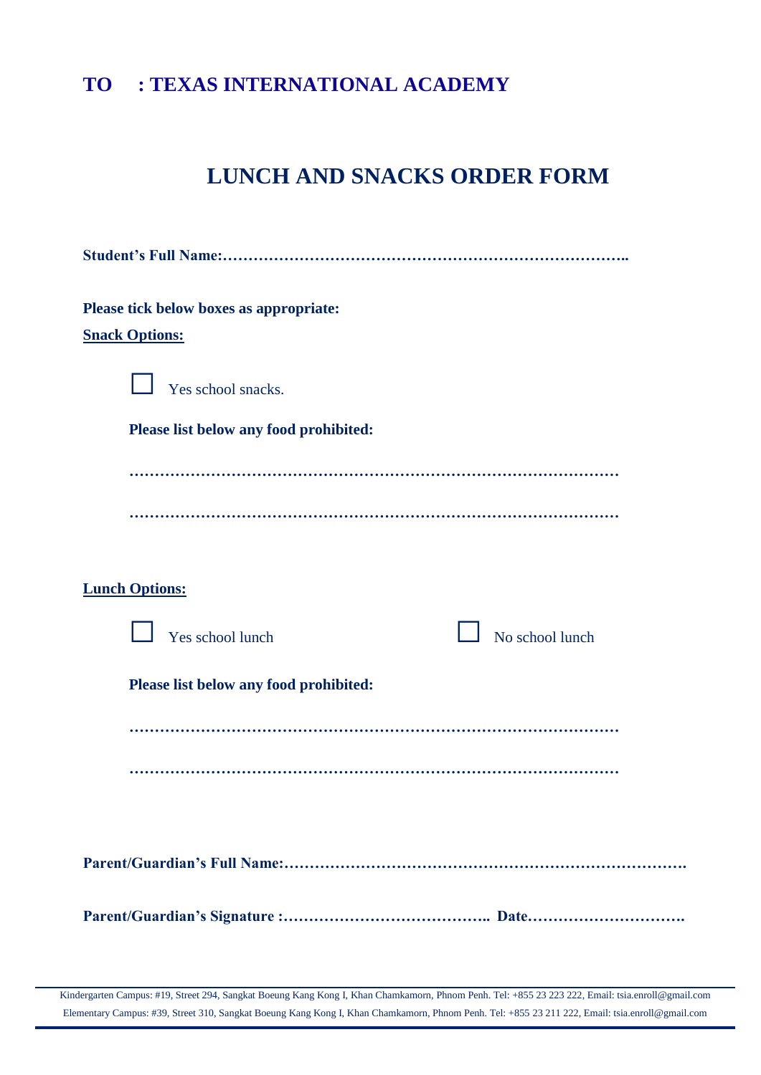#### **TO : TEXAS INTERNATIONAL ACADEMY**

#### **LUNCH AND SNACKS ORDER FORM**

| Please tick below boxes as appropriate: |  |  |  |  |
|-----------------------------------------|--|--|--|--|
| <b>Snack Options:</b>                   |  |  |  |  |
|                                         |  |  |  |  |
| Yes school snacks.                      |  |  |  |  |
| Please list below any food prohibited:  |  |  |  |  |
|                                         |  |  |  |  |
|                                         |  |  |  |  |
|                                         |  |  |  |  |
|                                         |  |  |  |  |
|                                         |  |  |  |  |
| <b>Lunch Options:</b>                   |  |  |  |  |
|                                         |  |  |  |  |
| Yes school lunch<br>No school lunch     |  |  |  |  |
|                                         |  |  |  |  |
| Please list below any food prohibited:  |  |  |  |  |
|                                         |  |  |  |  |
|                                         |  |  |  |  |
|                                         |  |  |  |  |
|                                         |  |  |  |  |
|                                         |  |  |  |  |
|                                         |  |  |  |  |
|                                         |  |  |  |  |
|                                         |  |  |  |  |
|                                         |  |  |  |  |

Kindergarten Campus: #19, Street 294, Sangkat Boeung Kang Kong I, Khan Chamkamorn, Phnom Penh. Tel: +855 23 223 222, Email: tsia.enroll@gmail.com Elementary Campus: #39, Street 310, Sangkat Boeung Kang Kong I, Khan Chamkamorn, Phnom Penh. Tel: +855 23 211 222, Email: tsia.enroll@gmail.com